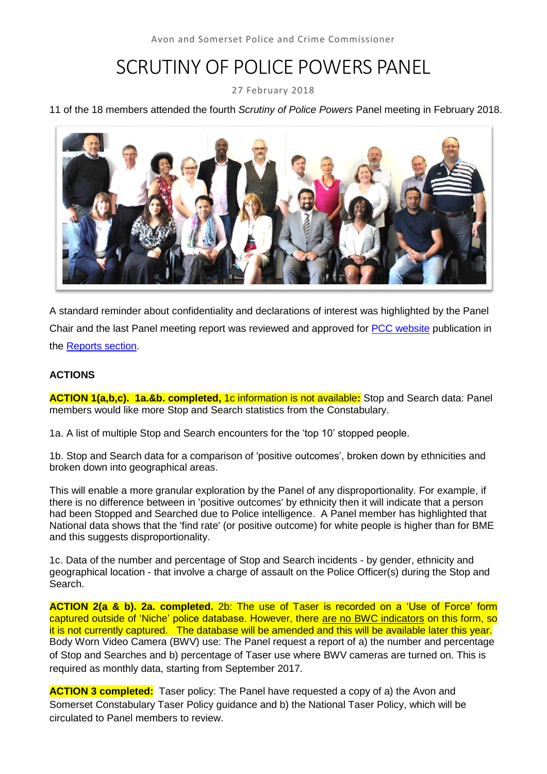# SCRUTINY OF POLICE POWERS PANEL

27 February 2018

#### 11 of the 18 members attended the fourth *Scrutiny of Police Powers* Panel meeting in February 2018.



A standard reminder about confidentiality and declarations of interest was highlighted by the Panel Chair and the last Panel meeting report was reviewed and approved for [PCC website](http://www.avonandsomerset-pcc.gov.uk/Openness/Scrutiny.aspx) publication in the [Reports section.](http://www.avonandsomerset-pcc.gov.uk/Openness/Scrutiny/Scrutiny-of-Police-Powers-Panel-Reports.aspx)

#### **ACTIONS**

**ACTION 1(a,b,c). 1a.&b. completed,** 1c information is not available**:** Stop and Search data: Panel members would like more Stop and Search statistics from the Constabulary.

1a. A list of multiple Stop and Search encounters for the 'top 10' stopped people.

1b. Stop and Search data for a comparison of 'positive outcomes', broken down by ethnicities and broken down into geographical areas.

This will enable a more granular exploration by the Panel of any disproportionality. For example, if there is no difference between in 'positive outcomes' by ethnicity then it will indicate that a person had been Stopped and Searched due to Police intelligence. A Panel member has highlighted that National data shows that the 'find rate' (or positive outcome) for white people is higher than for BME and this suggests disproportionality.

1c. Data of the number and percentage of Stop and Search incidents - by gender, ethnicity and geographical location - that involve a charge of assault on the Police Officer(s) during the Stop and Search.

**ACTION 2(a & b). 2a. completed.** 2b: The use of Taser is recorded on a 'Use of Force' form captured outside of 'Niche' police database. However, there are no BWC indicators on this form, so it is not currently captured. The database will be amended and this will be available later this year. Body Worn Video Camera (BWV) use: The Panel request a report of a) the number and percentage of Stop and Searches and b) percentage of Taser use where BWV cameras are turned on. This is required as monthly data, starting from September 2017.

**ACTION 3 completed:** Taser policy: The Panel have requested a copy of a) the Avon and Somerset Constabulary Taser Policy guidance and b) the National Taser Policy, which will be circulated to Panel members to review.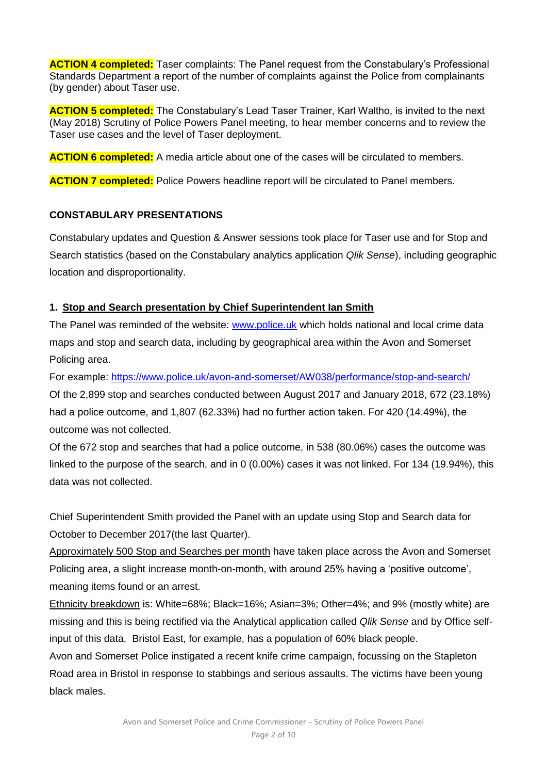**ACTION 4 completed:** Taser complaints: The Panel request from the Constabulary's Professional Standards Department a report of the number of complaints against the Police from complainants (by gender) about Taser use.

**ACTION 5 completed:** The Constabulary's Lead Taser Trainer, Karl Waltho, is invited to the next (May 2018) Scrutiny of Police Powers Panel meeting, to hear member concerns and to review the Taser use cases and the level of Taser deployment.

**ACTION 6 completed:** A media article about one of the cases will be circulated to members.

**ACTION 7 completed:** Police Powers headline report will be circulated to Panel members.

#### **CONSTABULARY PRESENTATIONS**

Constabulary updates and Question & Answer sessions took place for Taser use and for Stop and Search statistics (based on the Constabulary analytics application *Qlik Sense*), including geographic location and disproportionality.

#### **1. Stop and Search presentation by Chief Superintendent Ian Smith**

The Panel was reminded of the website: [www.police.uk](http://www.police.uk/) which holds national and local crime data maps and stop and search data, including by geographical area within the Avon and Somerset Policing area.

For example:<https://www.police.uk/avon-and-somerset/AW038/performance/stop-and-search/> Of the 2,899 stop and searches conducted between August 2017 and January 2018, 672 (23.18%) had a police outcome, and 1,807 (62.33%) had no further action taken. For 420 (14.49%), the outcome was not collected.

Of the 672 stop and searches that had a police outcome, in 538 (80.06%) cases the outcome was linked to the purpose of the search, and in 0 (0.00%) cases it was not linked. For 134 (19.94%), this data was not collected.

Chief Superintendent Smith provided the Panel with an update using Stop and Search data for October to December 2017(the last Quarter).

Approximately 500 Stop and Searches per month have taken place across the Avon and Somerset Policing area, a slight increase month-on-month, with around 25% having a 'positive outcome', meaning items found or an arrest.

Ethnicity breakdown is: White=68%; Black=16%; Asian=3%; Other=4%; and 9% (mostly white) are missing and this is being rectified via the Analytical application called *Qlik Sense* and by Office selfinput of this data. Bristol East, for example, has a population of 60% black people.

Avon and Somerset Police instigated a recent knife crime campaign, focussing on the Stapleton Road area in Bristol in response to stabbings and serious assaults. The victims have been young black males.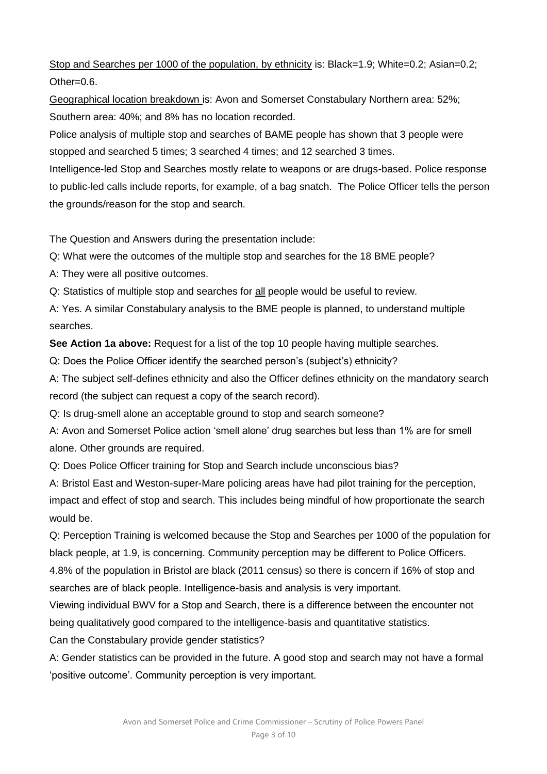Stop and Searches per 1000 of the population, by ethnicity is: Black=1.9; White=0.2; Asian=0.2; Other=0.6.

Geographical location breakdown is: Avon and Somerset Constabulary Northern area: 52%; Southern area: 40%; and 8% has no location recorded.

Police analysis of multiple stop and searches of BAME people has shown that 3 people were stopped and searched 5 times; 3 searched 4 times; and 12 searched 3 times.

Intelligence-led Stop and Searches mostly relate to weapons or are drugs-based. Police response to public-led calls include reports, for example, of a bag snatch. The Police Officer tells the person the grounds/reason for the stop and search.

The Question and Answers during the presentation include:

Q: What were the outcomes of the multiple stop and searches for the 18 BME people?

A: They were all positive outcomes.

Q: Statistics of multiple stop and searches for all people would be useful to review.

A: Yes. A similar Constabulary analysis to the BME people is planned, to understand multiple searches.

**See Action 1a above:** Request for a list of the top 10 people having multiple searches.

Q: Does the Police Officer identify the searched person's (subject's) ethnicity?

A: The subject self-defines ethnicity and also the Officer defines ethnicity on the mandatory search record (the subject can request a copy of the search record).

Q: Is drug-smell alone an acceptable ground to stop and search someone?

A: Avon and Somerset Police action 'smell alone' drug searches but less than 1% are for smell alone. Other grounds are required.

Q: Does Police Officer training for Stop and Search include unconscious bias?

A: Bristol East and Weston-super-Mare policing areas have had pilot training for the perception, impact and effect of stop and search. This includes being mindful of how proportionate the search would be.

Q: Perception Training is welcomed because the Stop and Searches per 1000 of the population for black people, at 1.9, is concerning. Community perception may be different to Police Officers.

4.8% of the population in Bristol are black (2011 census) so there is concern if 16% of stop and searches are of black people. Intelligence-basis and analysis is very important.

Viewing individual BWV for a Stop and Search, there is a difference between the encounter not being qualitatively good compared to the intelligence-basis and quantitative statistics.

Can the Constabulary provide gender statistics?

A: Gender statistics can be provided in the future. A good stop and search may not have a formal 'positive outcome'. Community perception is very important.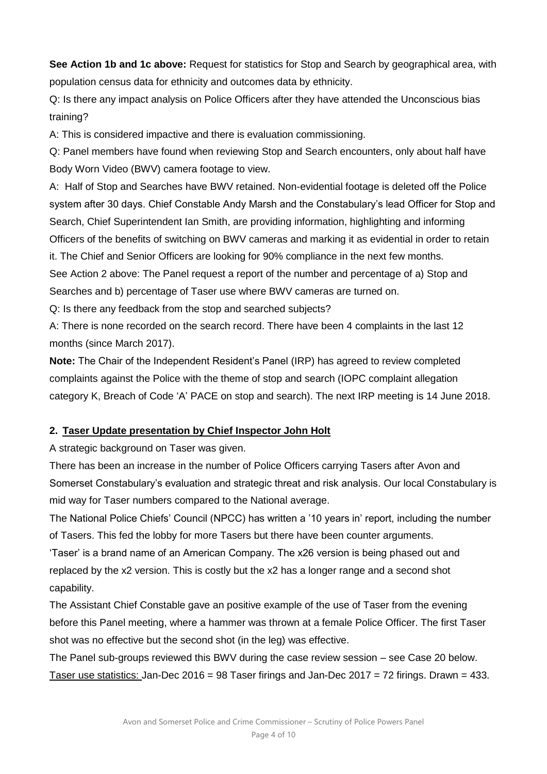**See Action 1b and 1c above:** Request for statistics for Stop and Search by geographical area, with population census data for ethnicity and outcomes data by ethnicity.

Q: Is there any impact analysis on Police Officers after they have attended the Unconscious bias training?

A: This is considered impactive and there is evaluation commissioning.

Q: Panel members have found when reviewing Stop and Search encounters, only about half have Body Worn Video (BWV) camera footage to view.

A: Half of Stop and Searches have BWV retained. Non-evidential footage is deleted off the Police system after 30 days. Chief Constable Andy Marsh and the Constabulary's lead Officer for Stop and Search, Chief Superintendent Ian Smith, are providing information, highlighting and informing Officers of the benefits of switching on BWV cameras and marking it as evidential in order to retain it. The Chief and Senior Officers are looking for 90% compliance in the next few months. See Action 2 above: The Panel request a report of the number and percentage of a) Stop and Searches and b) percentage of Taser use where BWV cameras are turned on.

Q: Is there any feedback from the stop and searched subjects?

A: There is none recorded on the search record. There have been 4 complaints in the last 12 months (since March 2017).

**Note:** The Chair of the Independent Resident's Panel (IRP) has agreed to review completed complaints against the Police with the theme of stop and search (IOPC complaint allegation category K, Breach of Code 'A' PACE on stop and search). The next IRP meeting is 14 June 2018.

## **2. Taser Update presentation by Chief Inspector John Holt**

A strategic background on Taser was given.

There has been an increase in the number of Police Officers carrying Tasers after Avon and Somerset Constabulary's evaluation and strategic threat and risk analysis. Our local Constabulary is mid way for Taser numbers compared to the National average.

The National Police Chiefs' Council (NPCC) has written a '10 years in' report, including the number of Tasers. This fed the lobby for more Tasers but there have been counter arguments.

'Taser' is a brand name of an American Company. The x26 version is being phased out and replaced by the x2 version. This is costly but the x2 has a longer range and a second shot capability.

The Assistant Chief Constable gave an positive example of the use of Taser from the evening before this Panel meeting, where a hammer was thrown at a female Police Officer. The first Taser shot was no effective but the second shot (in the leg) was effective.

The Panel sub-groups reviewed this BWV during the case review session – see Case 20 below. Taser use statistics: Jan-Dec 2016 = 98 Taser firings and Jan-Dec 2017 = 72 firings. Drawn = 433.

> Avon and Somerset Police and Crime Commissioner – Scrutiny of Police Powers Panel Page 4 of 10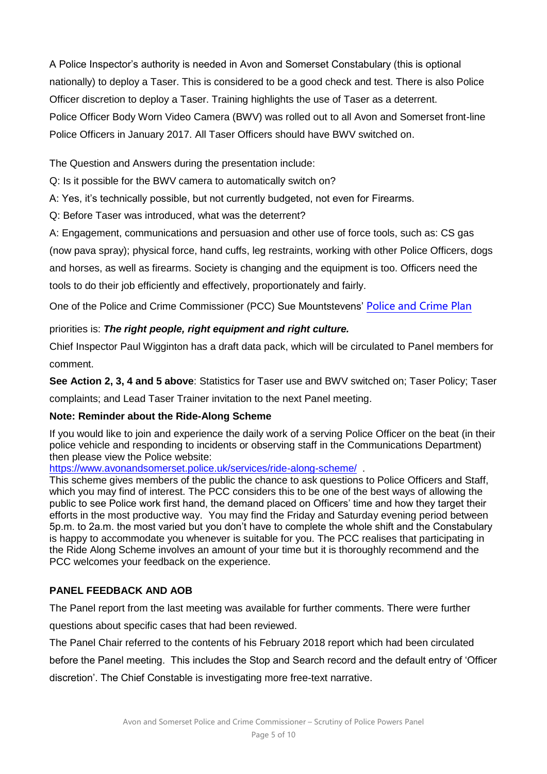A Police Inspector's authority is needed in Avon and Somerset Constabulary (this is optional nationally) to deploy a Taser. This is considered to be a good check and test. There is also Police Officer discretion to deploy a Taser. Training highlights the use of Taser as a deterrent. Police Officer Body Worn Video Camera (BWV) was rolled out to all Avon and Somerset front-line Police Officers in January 2017. All Taser Officers should have BWV switched on.

The Question and Answers during the presentation include:

Q: Is it possible for the BWV camera to automatically switch on?

A: Yes, it's technically possible, but not currently budgeted, not even for Firearms.

Q: Before Taser was introduced, what was the deterrent?

A: Engagement, communications and persuasion and other use of force tools, such as: CS gas (now pava spray); physical force, hand cuffs, leg restraints, working with other Police Officers, dogs and horses, as well as firearms. Society is changing and the equipment is too. Officers need the tools to do their job efficiently and effectively, proportionately and fairly.

One of the Police and Crime Commissioner (PCC) Sue Mountstevens' [Police and Crime Plan](https://www.avonandsomersetplan.co.uk/)

## priorities is: *The right people, right equipment and right culture.*

Chief Inspector Paul Wigginton has a draft data pack, which will be circulated to Panel members for comment.

**See Action 2, 3, 4 and 5 above**: Statistics for Taser use and BWV switched on; Taser Policy; Taser complaints; and Lead Taser Trainer invitation to the next Panel meeting.

#### **Note: Reminder about the Ride-Along Scheme**

If you would like to join and experience the daily work of a serving Police Officer on the beat (in their police vehicle and responding to incidents or observing staff in the Communications Department) then please view the Police website:

<https://www.avonandsomerset.police.uk/services/ride-along-scheme/>.

This scheme gives members of the public the chance to ask questions to Police Officers and Staff, which you may find of interest. The PCC considers this to be one of the best ways of allowing the public to see Police work first hand, the demand placed on Officers' time and how they target their efforts in the most productive way. You may find the Friday and Saturday evening period between 5p.m. to 2a.m. the most varied but you don't have to complete the whole shift and the Constabulary is happy to accommodate you whenever is suitable for you. The PCC realises that participating in the Ride Along Scheme involves an amount of your time but it is thoroughly recommend and the PCC welcomes your feedback on the experience.

## **PANEL FEEDBACK AND AOB**

The Panel report from the last meeting was available for further comments. There were further

questions about specific cases that had been reviewed.

The Panel Chair referred to the contents of his February 2018 report which had been circulated

before the Panel meeting. This includes the Stop and Search record and the default entry of 'Officer discretion'. The Chief Constable is investigating more free-text narrative.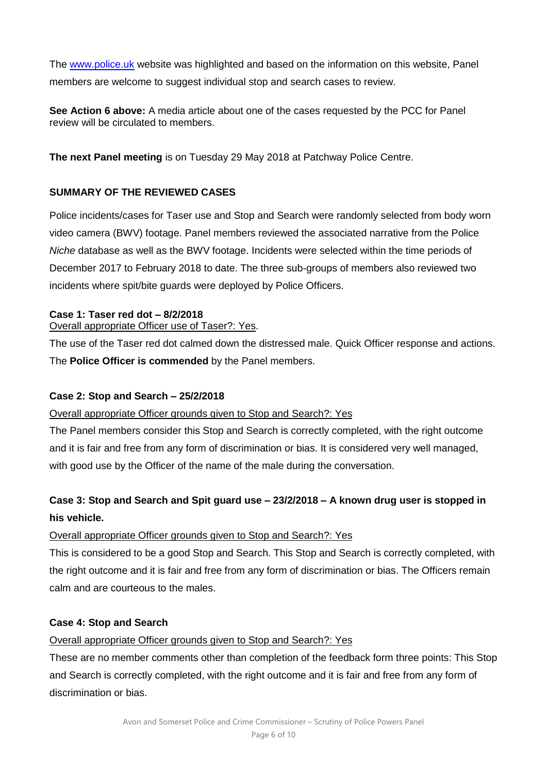The [www.police.uk](http://www.police.uk/) website was highlighted and based on the information on this website, Panel members are welcome to suggest individual stop and search cases to review.

**See Action 6 above:** A media article about one of the cases requested by the PCC for Panel review will be circulated to members.

**The next Panel meeting** is on Tuesday 29 May 2018 at Patchway Police Centre.

## **SUMMARY OF THE REVIEWED CASES**

Police incidents/cases for Taser use and Stop and Search were randomly selected from body worn video camera (BWV) footage. Panel members reviewed the associated narrative from the Police *Niche* database as well as the BWV footage. Incidents were selected within the time periods of December 2017 to February 2018 to date. The three sub-groups of members also reviewed two incidents where spit/bite guards were deployed by Police Officers.

## **Case 1: Taser red dot – 8/2/2018**

Overall appropriate Officer use of Taser?: Yes.

The use of the Taser red dot calmed down the distressed male. Quick Officer response and actions. The **Police Officer is commended** by the Panel members.

#### **Case 2: Stop and Search – 25/2/2018**

## Overall appropriate Officer grounds given to Stop and Search?: Yes

The Panel members consider this Stop and Search is correctly completed, with the right outcome and it is fair and free from any form of discrimination or bias. It is considered very well managed, with good use by the Officer of the name of the male during the conversation.

# **Case 3: Stop and Search and Spit guard use – 23/2/2018 – A known drug user is stopped in his vehicle.**

## Overall appropriate Officer grounds given to Stop and Search?: Yes

This is considered to be a good Stop and Search. This Stop and Search is correctly completed, with the right outcome and it is fair and free from any form of discrimination or bias. The Officers remain calm and are courteous to the males.

#### **Case 4: Stop and Search**

# Overall appropriate Officer grounds given to Stop and Search?: Yes

These are no member comments other than completion of the feedback form three points: This Stop and Search is correctly completed, with the right outcome and it is fair and free from any form of discrimination or bias.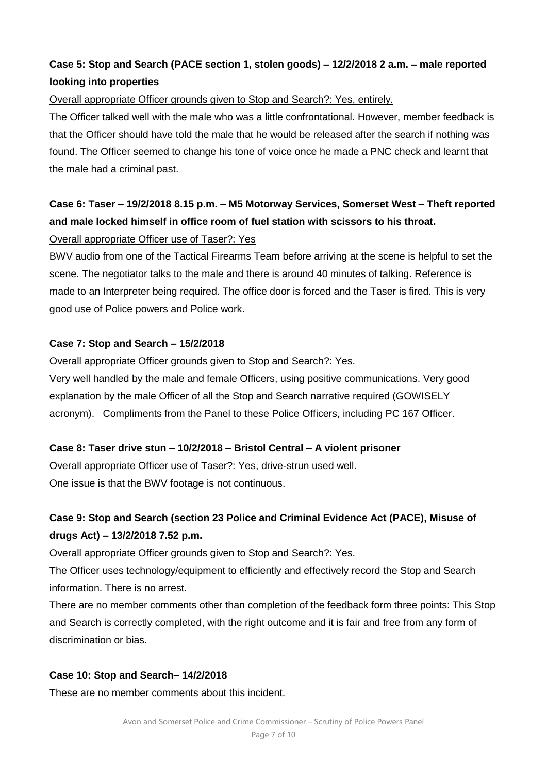# **Case 5: Stop and Search (PACE section 1, stolen goods) – 12/2/2018 2 a.m. – male reported looking into properties**

#### Overall appropriate Officer grounds given to Stop and Search?: Yes, entirely.

The Officer talked well with the male who was a little confrontational. However, member feedback is that the Officer should have told the male that he would be released after the search if nothing was found. The Officer seemed to change his tone of voice once he made a PNC check and learnt that the male had a criminal past.

# **Case 6: Taser – 19/2/2018 8.15 p.m. – M5 Motorway Services, Somerset West – Theft reported and male locked himself in office room of fuel station with scissors to his throat.**

## Overall appropriate Officer use of Taser?: Yes

BWV audio from one of the Tactical Firearms Team before arriving at the scene is helpful to set the scene. The negotiator talks to the male and there is around 40 minutes of talking. Reference is made to an Interpreter being required. The office door is forced and the Taser is fired. This is very good use of Police powers and Police work.

#### **Case 7: Stop and Search – 15/2/2018**

#### Overall appropriate Officer grounds given to Stop and Search?: Yes.

Very well handled by the male and female Officers, using positive communications. Very good explanation by the male Officer of all the Stop and Search narrative required (GOWISELY acronym). Compliments from the Panel to these Police Officers, including PC 167 Officer.

#### **Case 8: Taser drive stun – 10/2/2018 – Bristol Central – A violent prisoner**

Overall appropriate Officer use of Taser?: Yes, drive-strun used well. One issue is that the BWV footage is not continuous.

# **Case 9: Stop and Search (section 23 Police and Criminal Evidence Act (PACE), Misuse of drugs Act) – 13/2/2018 7.52 p.m.**

Overall appropriate Officer grounds given to Stop and Search?: Yes.

The Officer uses technology/equipment to efficiently and effectively record the Stop and Search information. There is no arrest.

There are no member comments other than completion of the feedback form three points: This Stop and Search is correctly completed, with the right outcome and it is fair and free from any form of discrimination or bias.

#### **Case 10: Stop and Search– 14/2/2018**

These are no member comments about this incident.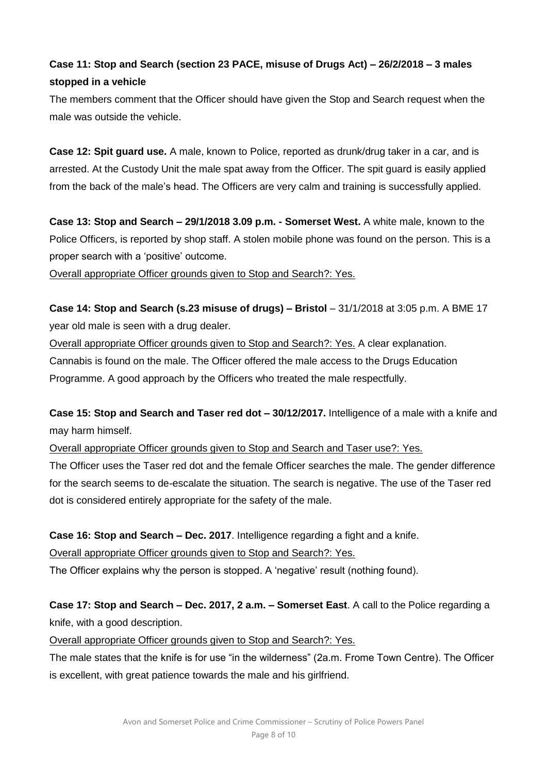# **Case 11: Stop and Search (section 23 PACE, misuse of Drugs Act) – 26/2/2018 – 3 males stopped in a vehicle**

The members comment that the Officer should have given the Stop and Search request when the male was outside the vehicle.

**Case 12: Spit guard use.** A male, known to Police, reported as drunk/drug taker in a car, and is arrested. At the Custody Unit the male spat away from the Officer. The spit guard is easily applied from the back of the male's head. The Officers are very calm and training is successfully applied.

**Case 13: Stop and Search – 29/1/2018 3.09 p.m. - Somerset West.** A white male, known to the Police Officers, is reported by shop staff. A stolen mobile phone was found on the person. This is a proper search with a 'positive' outcome.

Overall appropriate Officer grounds given to Stop and Search?: Yes.

**Case 14: Stop and Search (s.23 misuse of drugs) – Bristol** – 31/1/2018 at 3:05 p.m. A BME 17 year old male is seen with a drug dealer.

Overall appropriate Officer grounds given to Stop and Search?: Yes. A clear explanation. Cannabis is found on the male. The Officer offered the male access to the Drugs Education Programme. A good approach by the Officers who treated the male respectfully.

**Case 15: Stop and Search and Taser red dot – 30/12/2017.** Intelligence of a male with a knife and may harm himself.

Overall appropriate Officer grounds given to Stop and Search and Taser use?: Yes.

The Officer uses the Taser red dot and the female Officer searches the male. The gender difference for the search seems to de-escalate the situation. The search is negative. The use of the Taser red dot is considered entirely appropriate for the safety of the male.

**Case 16: Stop and Search – Dec. 2017**. Intelligence regarding a fight and a knife.

Overall appropriate Officer grounds given to Stop and Search?: Yes.

The Officer explains why the person is stopped. A 'negative' result (nothing found).

**Case 17: Stop and Search – Dec. 2017, 2 a.m. – Somerset East**. A call to the Police regarding a knife, with a good description.

Overall appropriate Officer grounds given to Stop and Search?: Yes.

The male states that the knife is for use "in the wilderness" (2a.m. Frome Town Centre). The Officer is excellent, with great patience towards the male and his girlfriend.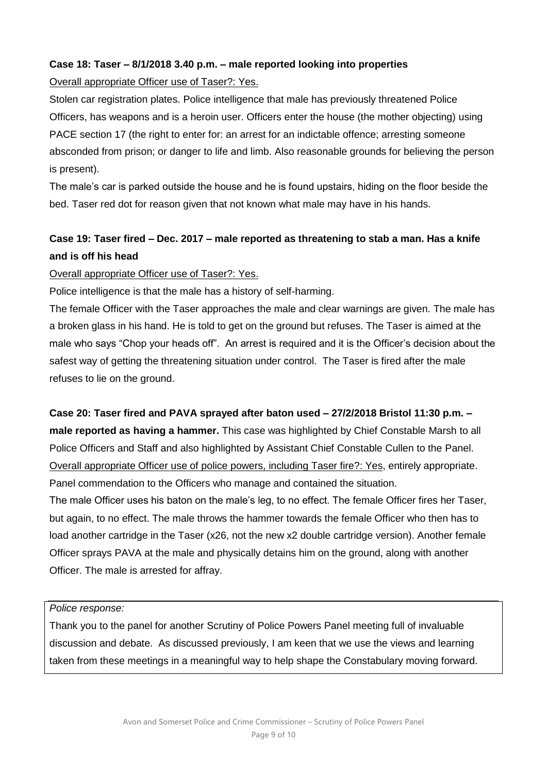## **Case 18: Taser – 8/1/2018 3.40 p.m. – male reported looking into properties**

#### Overall appropriate Officer use of Taser?: Yes.

Stolen car registration plates. Police intelligence that male has previously threatened Police Officers, has weapons and is a heroin user. Officers enter the house (the mother objecting) using PACE section 17 (the right to enter for: an arrest for an indictable offence; arresting someone absconded from prison; or danger to life and limb. Also reasonable grounds for believing the person is present).

The male's car is parked outside the house and he is found upstairs, hiding on the floor beside the bed. Taser red dot for reason given that not known what male may have in his hands.

# **Case 19: Taser fired – Dec. 2017 – male reported as threatening to stab a man. Has a knife and is off his head**

#### Overall appropriate Officer use of Taser?: Yes.

Police intelligence is that the male has a history of self-harming.

The female Officer with the Taser approaches the male and clear warnings are given. The male has a broken glass in his hand. He is told to get on the ground but refuses. The Taser is aimed at the male who says "Chop your heads off". An arrest is required and it is the Officer's decision about the safest way of getting the threatening situation under control. The Taser is fired after the male refuses to lie on the ground.

# **Case 20: Taser fired and PAVA sprayed after baton used – 27/2/2018 Bristol 11:30 p.m. – male reported as having a hammer.** This case was highlighted by Chief Constable Marsh to all

Police Officers and Staff and also highlighted by Assistant Chief Constable Cullen to the Panel. Overall appropriate Officer use of police powers, including Taser fire?: Yes, entirely appropriate. Panel commendation to the Officers who manage and contained the situation.

The male Officer uses his baton on the male's leg, to no effect. The female Officer fires her Taser, but again, to no effect. The male throws the hammer towards the female Officer who then has to load another cartridge in the Taser (x26, not the new x2 double cartridge version). Another female Officer sprays PAVA at the male and physically detains him on the ground, along with another Officer. The male is arrested for affray.

#### *Police response:*

Thank you to the panel for another Scrutiny of Police Powers Panel meeting full of invaluable discussion and debate. As discussed previously, I am keen that we use the views and learning taken from these meetings in a meaningful way to help shape the Constabulary moving forward.